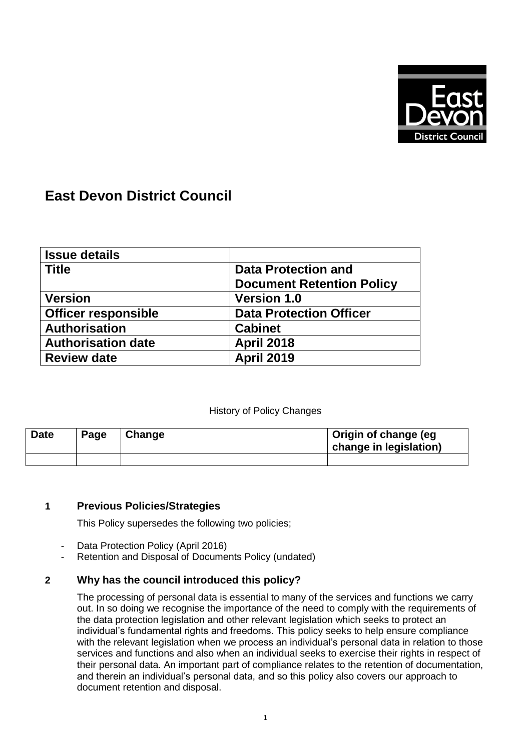

# **East Devon District Council**

| <b>Issue details</b>       |                                  |  |
|----------------------------|----------------------------------|--|
| <b>Title</b>               | <b>Data Protection and</b>       |  |
|                            | <b>Document Retention Policy</b> |  |
| <b>Version</b>             | <b>Version 1.0</b>               |  |
| <b>Officer responsible</b> | <b>Data Protection Officer</b>   |  |
| <b>Authorisation</b>       | <b>Cabinet</b>                   |  |
| <b>Authorisation date</b>  | <b>April 2018</b>                |  |
| <b>Review date</b>         | <b>April 2019</b>                |  |

## History of Policy Changes

| <b>Date</b> | Page | Change | Origin of change (eg<br>change in legislation) |
|-------------|------|--------|------------------------------------------------|
|             |      |        |                                                |

## **1 Previous Policies/Strategies**

This Policy supersedes the following two policies;

- Data Protection Policy (April 2016)
- Retention and Disposal of Documents Policy (undated)

## **2 Why has the council introduced this policy?**

The processing of personal data is essential to many of the services and functions we carry out. In so doing we recognise the importance of the need to comply with the requirements of the data protection legislation and other relevant legislation which seeks to protect an individual's fundamental rights and freedoms. This policy seeks to help ensure compliance with the relevant legislation when we process an individual's personal data in relation to those services and functions and also when an individual seeks to exercise their rights in respect of their personal data. An important part of compliance relates to the retention of documentation, and therein an individual's personal data, and so this policy also covers our approach to document retention and disposal.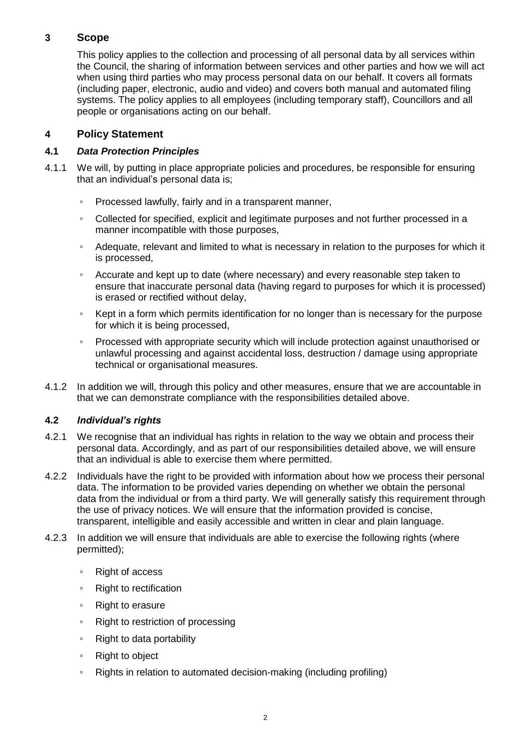# **3 Scope**

This policy applies to the collection and processing of all personal data by all services within the Council, the sharing of information between services and other parties and how we will act when using third parties who may process personal data on our behalf. It covers all formats (including paper, electronic, audio and video) and covers both manual and automated filing systems. The policy applies to all employees (including temporary staff), Councillors and all people or organisations acting on our behalf.

# **4 Policy Statement**

## **4.1** *Data Protection Principles*

- 4.1.1 We will, by putting in place appropriate policies and procedures, be responsible for ensuring that an individual's personal data is;
	- Processed lawfully, fairly and in a transparent manner,
	- Collected for specified, explicit and legitimate purposes and not further processed in a manner incompatible with those purposes,
	- Adequate, relevant and limited to what is necessary in relation to the purposes for which it is processed,
	- Accurate and kept up to date (where necessary) and every reasonable step taken to ensure that inaccurate personal data (having regard to purposes for which it is processed) is erased or rectified without delay,
	- Kept in a form which permits identification for no longer than is necessary for the purpose for which it is being processed.
	- Processed with appropriate security which will include protection against unauthorised or unlawful processing and against accidental loss, destruction / damage using appropriate technical or organisational measures.
- 4.1.2 In addition we will, through this policy and other measures, ensure that we are accountable in that we can demonstrate compliance with the responsibilities detailed above.

## **4.2** *Individual's rights*

- 4.2.1 We recognise that an individual has rights in relation to the way we obtain and process their personal data. Accordingly, and as part of our responsibilities detailed above, we will ensure that an individual is able to exercise them where permitted.
- 4.2.2 Individuals have the right to be provided with information about how we process their personal data. The information to be provided varies depending on whether we obtain the personal data from the individual or from a third party. We will generally satisfy this requirement through the use of privacy notices. We will ensure that the information provided is concise, transparent, intelligible and easily accessible and written in clear and plain language.
- 4.2.3 In addition we will ensure that individuals are able to exercise the following rights (where permitted);
	- Right of access
	- Right to rectification
	- Right to erasure
	- Right to restriction of processing
	- Right to data portability
	- Right to object
	- Rights in relation to automated decision-making (including profiling)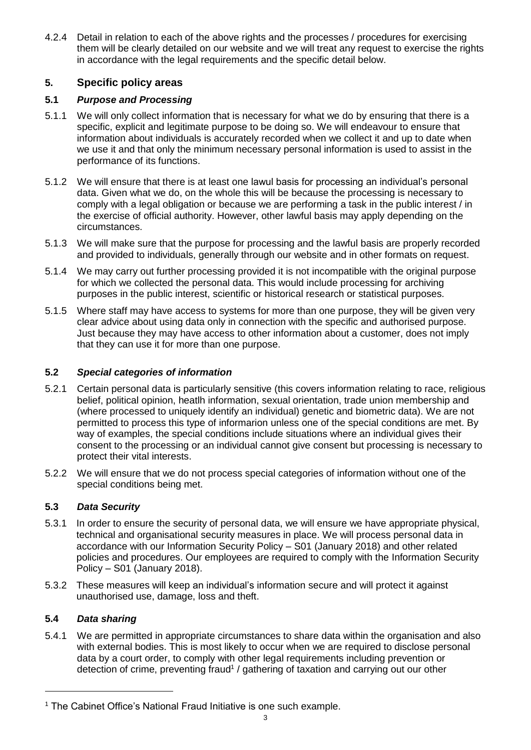4.2.4 Detail in relation to each of the above rights and the processes / procedures for exercising them will be clearly detailed on our website and we will treat any request to exercise the rights in accordance with the legal requirements and the specific detail below.

# **5. Specific policy areas**

## **5.1** *Purpose and Processing*

- 5.1.1 We will only collect information that is necessary for what we do by ensuring that there is a specific, explicit and legitimate purpose to be doing so. We will endeavour to ensure that information about individuals is accurately recorded when we collect it and up to date when we use it and that only the minimum necessary personal information is used to assist in the performance of its functions.
- 5.1.2 We will ensure that there is at least one lawul basis for processing an individual's personal data. Given what we do, on the whole this will be because the processing is necessary to comply with a legal obligation or because we are performing a task in the public interest / in the exercise of official authority. However, other lawful basis may apply depending on the circumstances.
- 5.1.3 We will make sure that the purpose for processing and the lawful basis are properly recorded and provided to individuals, generally through our website and in other formats on request.
- 5.1.4 We may carry out further processing provided it is not incompatible with the original purpose for which we collected the personal data. This would include processing for archiving purposes in the public interest, scientific or historical research or statistical purposes.
- 5.1.5 Where staff may have access to systems for more than one purpose, they will be given very clear advice about using data only in connection with the specific and authorised purpose. Just because they may have access to other information about a customer, does not imply that they can use it for more than one purpose.

#### **5.2** *Special categories of information*

- 5.2.1 Certain personal data is particularly sensitive (this covers information relating to race, religious belief, political opinion, heatlh information, sexual orientation, trade union membership and (where processed to uniquely identify an individual) genetic and biometric data). We are not permitted to process this type of informarion unless one of the special conditions are met. By way of examples, the special conditions include situations where an individual gives their consent to the processing or an individual cannot give consent but processing is necessary to protect their vital interests.
- 5.2.2 We will ensure that we do not process special categories of information without one of the special conditions being met.

#### **5.3** *Data Security*

- 5.3.1 In order to ensure the security of personal data, we will ensure we have appropriate physical, technical and organisational security measures in place. We will process personal data in accordance with our Information Security Policy – S01 (January 2018) and other related policies and procedures. Our employees are required to comply with the Information Security Policy – S01 (January 2018).
- 5.3.2 These measures will keep an individual's information secure and will protect it against unauthorised use, damage, loss and theft.

## **5.4** *Data sharing*

5.4.1 We are permitted in appropriate circumstances to share data within the organisation and also with external bodies. This is most likely to occur when we are required to disclose personal data by a court order, to comply with other legal requirements including prevention or detection of crime, preventing fraud<sup>1</sup> / gathering of taxation and carrying out our other

<sup>&</sup>lt;sup>1</sup> The Cabinet Office's National Fraud Initiative is one such example.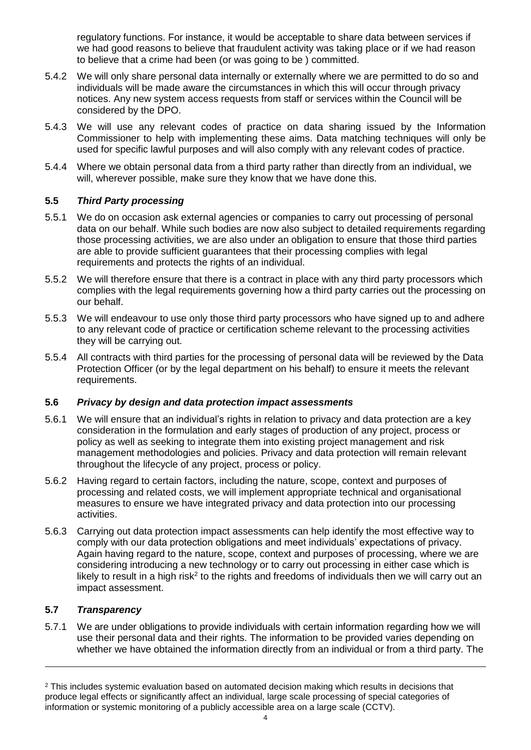regulatory functions. For instance, it would be acceptable to share data between services if we had good reasons to believe that fraudulent activity was taking place or if we had reason to believe that a crime had been (or was going to be ) committed.

- 5.4.2 We will only share personal data internally or externally where we are permitted to do so and individuals will be made aware the circumstances in which this will occur through privacy notices. Any new system access requests from staff or services within the Council will be considered by the DPO.
- 5.4.3 We will use any relevant codes of practice on data sharing issued by the Information Commissioner to help with implementing these aims. Data matching techniques will only be used for specific lawful purposes and will also comply with any relevant codes of practice.
- 5.4.4 Where we obtain personal data from a third party rather than directly from an individual, we will, wherever possible, make sure they know that we have done this.

#### **5.5** *Third Party processing*

- 5.5.1 We do on occasion ask external agencies or companies to carry out processing of personal data on our behalf. While such bodies are now also subject to detailed requirements regarding those processing activities, we are also under an obligation to ensure that those third parties are able to provide sufficient guarantees that their processing complies with legal requirements and protects the rights of an individual.
- 5.5.2 We will therefore ensure that there is a contract in place with any third party processors which complies with the legal requirements governing how a third party carries out the processing on our behalf.
- 5.5.3 We will endeavour to use only those third party processors who have signed up to and adhere to any relevant code of practice or certification scheme relevant to the processing activities they will be carrying out.
- 5.5.4 All contracts with third parties for the processing of personal data will be reviewed by the Data Protection Officer (or by the legal department on his behalf) to ensure it meets the relevant requirements.

#### **5.6** *Privacy by design and data protection impact assessments*

- 5.6.1 We will ensure that an individual's rights in relation to privacy and data protection are a key consideration in the formulation and early stages of production of any project, process or policy as well as seeking to integrate them into existing project management and risk management methodologies and policies. Privacy and data protection will remain relevant throughout the lifecycle of any project, process or policy.
- 5.6.2 Having regard to certain factors, including the nature, scope, context and purposes of processing and related costs, we will implement appropriate technical and organisational measures to ensure we have integrated privacy and data protection into our processing activities.
- 5.6.3 Carrying out data protection impact assessments can help identify the most effective way to comply with our data protection obligations and meet individuals' expectations of privacy. Again having regard to the nature, scope, context and purposes of processing, where we are considering introducing a new technology or to carry out processing in either case which is likely to result in a high risk<sup>2</sup> to the rights and freedoms of individuals then we will carry out an impact assessment.

#### **5.7** *Transparency*

 $\overline{a}$ 

5.7.1 We are under obligations to provide individuals with certain information regarding how we will use their personal data and their rights. The information to be provided varies depending on whether we have obtained the information directly from an individual or from a third party. The

<sup>&</sup>lt;sup>2</sup> This includes systemic evaluation based on automated decision making which results in decisions that produce legal effects or significantly affect an individual, large scale processing of special categories of information or systemic monitoring of a publicly accessible area on a large scale (CCTV).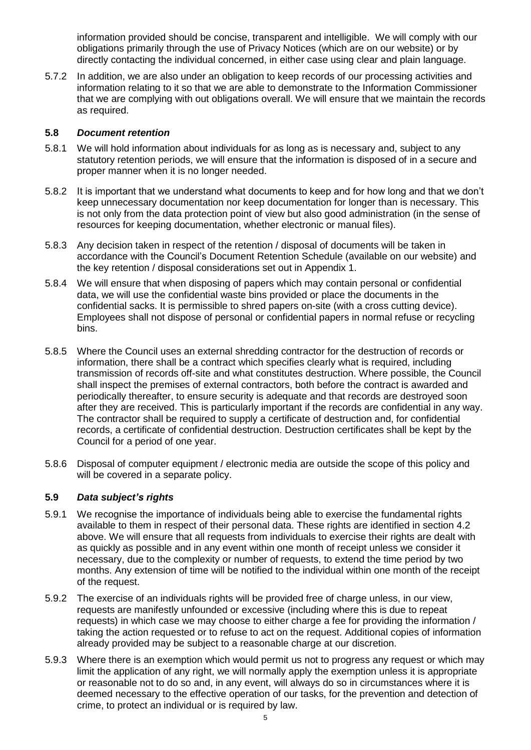information provided should be concise, transparent and intelligible. We will comply with our obligations primarily through the use of Privacy Notices (which are on our website) or by directly contacting the individual concerned, in either case using clear and plain language.

5.7.2 In addition, we are also under an obligation to keep records of our processing activities and information relating to it so that we are able to demonstrate to the Information Commissioner that we are complying with out obligations overall. We will ensure that we maintain the records as required.

#### **5.8** *Document retention*

- 5.8.1 We will hold information about individuals for as long as is necessary and, subject to any statutory retention periods, we will ensure that the information is disposed of in a secure and proper manner when it is no longer needed.
- 5.8.2 It is important that we understand what documents to keep and for how long and that we don't keep unnecessary documentation nor keep documentation for longer than is necessary. This is not only from the data protection point of view but also good administration (in the sense of resources for keeping documentation, whether electronic or manual files).
- 5.8.3 Any decision taken in respect of the retention / disposal of documents will be taken in accordance with the Council's Document Retention Schedule (available on our website) and the key retention / disposal considerations set out in Appendix 1.
- 5.8.4 We will ensure that when disposing of papers which may contain personal or confidential data, we will use the confidential waste bins provided or place the documents in the confidential sacks. It is permissible to shred papers on-site (with a cross cutting device). Employees shall not dispose of personal or confidential papers in normal refuse or recycling bins.
- 5.8.5 Where the Council uses an external shredding contractor for the destruction of records or information, there shall be a contract which specifies clearly what is required, including transmission of records off-site and what constitutes destruction. Where possible, the Council shall inspect the premises of external contractors, both before the contract is awarded and periodically thereafter, to ensure security is adequate and that records are destroyed soon after they are received. This is particularly important if the records are confidential in any way. The contractor shall be required to supply a certificate of destruction and, for confidential records, a certificate of confidential destruction. Destruction certificates shall be kept by the Council for a period of one year.
- 5.8.6 Disposal of computer equipment / electronic media are outside the scope of this policy and will be covered in a separate policy.

#### **5.9** *Data subject's rights*

- 5.9.1 We recognise the importance of individuals being able to exercise the fundamental rights available to them in respect of their personal data. These rights are identified in section 4.2 above. We will ensure that all requests from individuals to exercise their rights are dealt with as quickly as possible and in any event within one month of receipt unless we consider it necessary, due to the complexity or number of requests, to extend the time period by two months. Any extension of time will be notified to the individual within one month of the receipt of the request.
- 5.9.2 The exercise of an individuals rights will be provided free of charge unless, in our view, requests are manifestly unfounded or excessive (including where this is due to repeat requests) in which case we may choose to either charge a fee for providing the information / taking the action requested or to refuse to act on the request. Additional copies of information already provided may be subject to a reasonable charge at our discretion.
- 5.9.3 Where there is an exemption which would permit us not to progress any request or which may limit the application of any right, we will normally apply the exemption unless it is appropriate or reasonable not to do so and, in any event, will always do so in circumstances where it is deemed necessary to the effective operation of our tasks, for the prevention and detection of crime, to protect an individual or is required by law.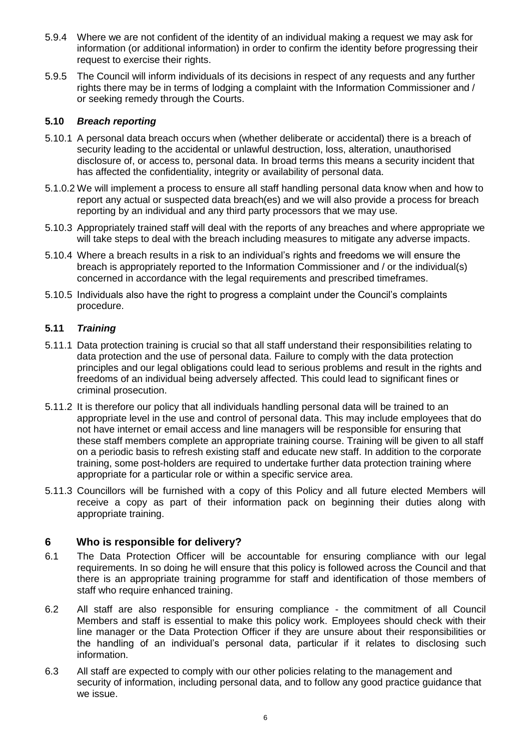- 5.9.4 Where we are not confident of the identity of an individual making a request we may ask for information (or additional information) in order to confirm the identity before progressing their request to exercise their rights.
- 5.9.5 The Council will inform individuals of its decisions in respect of any requests and any further rights there may be in terms of lodging a complaint with the Information Commissioner and / or seeking remedy through the Courts.

#### **5.10** *Breach reporting*

- 5.10.1 A personal data breach occurs when (whether deliberate or accidental) there is a breach of security leading to the accidental or unlawful destruction, loss, alteration, unauthorised disclosure of, or access to, personal data. In broad terms this means a security incident that has affected the confidentiality, integrity or availability of personal data.
- 5.1.0.2 We will implement a process to ensure all staff handling personal data know when and how to report any actual or suspected data breach(es) and we will also provide a process for breach reporting by an individual and any third party processors that we may use.
- 5.10.3 Appropriately trained staff will deal with the reports of any breaches and where appropriate we will take steps to deal with the breach including measures to mitigate any adverse impacts.
- 5.10.4 Where a breach results in a risk to an individual's rights and freedoms we will ensure the breach is appropriately reported to the Information Commissioner and / or the individual(s) concerned in accordance with the legal requirements and prescribed timeframes.
- 5.10.5 Individuals also have the right to progress a complaint under the Council's complaints procedure.

#### **5.11** *Training*

- 5.11.1 Data protection training is crucial so that all staff understand their responsibilities relating to data protection and the use of personal data. Failure to comply with the data protection principles and our legal obligations could lead to serious problems and result in the rights and freedoms of an individual being adversely affected. This could lead to significant fines or criminal prosecution.
- 5.11.2 It is therefore our policy that all individuals handling personal data will be trained to an appropriate level in the use and control of personal data. This may include employees that do not have internet or email access and line managers will be responsible for ensuring that these staff members complete an appropriate training course. Training will be given to all staff on a periodic basis to refresh existing staff and educate new staff. In addition to the corporate training, some post-holders are required to undertake further data protection training where appropriate for a particular role or within a specific service area.
- 5.11.3 Councillors will be furnished with a copy of this Policy and all future elected Members will receive a copy as part of their information pack on beginning their duties along with appropriate training.

#### **6 Who is responsible for delivery?**

- 6.1 The Data Protection Officer will be accountable for ensuring compliance with our legal requirements. In so doing he will ensure that this policy is followed across the Council and that there is an appropriate training programme for staff and identification of those members of staff who require enhanced training.
- 6.2 All staff are also responsible for ensuring compliance the commitment of all Council Members and staff is essential to make this policy work. Employees should check with their line manager or the Data Protection Officer if they are unsure about their responsibilities or the handling of an individual's personal data, particular if it relates to disclosing such information.
- 6.3 All staff are expected to comply with our other policies relating to the management and security of information, including personal data, and to follow any good practice guidance that we issue.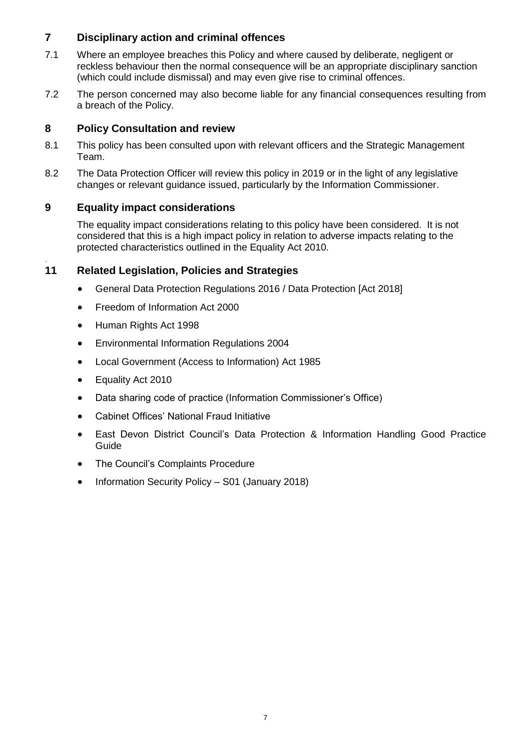# **7 Disciplinary action and criminal offences**

- 7.1 Where an employee breaches this Policy and where caused by deliberate, negligent or reckless behaviour then the normal consequence will be an appropriate disciplinary sanction (which could include dismissal) and may even give rise to criminal offences.
- 7.2 The person concerned may also become liable for any financial consequences resulting from a breach of the Policy.

# **8 Policy Consultation and review**

- 8.1 This policy has been consulted upon with relevant officers and the Strategic Management Team.
- 8.2 The Data Protection Officer will review this policy in 2019 or in the light of any legislative changes or relevant guidance issued, particularly by the Information Commissioner.

# **9 Equality impact considerations**

The equality impact considerations relating to this policy have been considered. It is not considered that this is a high impact policy in relation to adverse impacts relating to the protected characteristics outlined in the Equality Act 2010.

# **11 Related Legislation, Policies and Strategies**

- General Data Protection Regulations 2016 / Data Protection [Act 2018]
- Freedom of Information Act 2000
- Human Rights Act 1998
- Environmental Information Regulations 2004
- Local Government (Access to Information) Act 1985
- Equality Act 2010

.

- Data sharing code of practice (Information Commissioner's Office)
- Cabinet Offices' National Fraud Initiative
- East Devon District Council's Data Protection & Information Handling Good Practice Guide
- The Council's Complaints Procedure
- Information Security Policy S01 (January 2018)